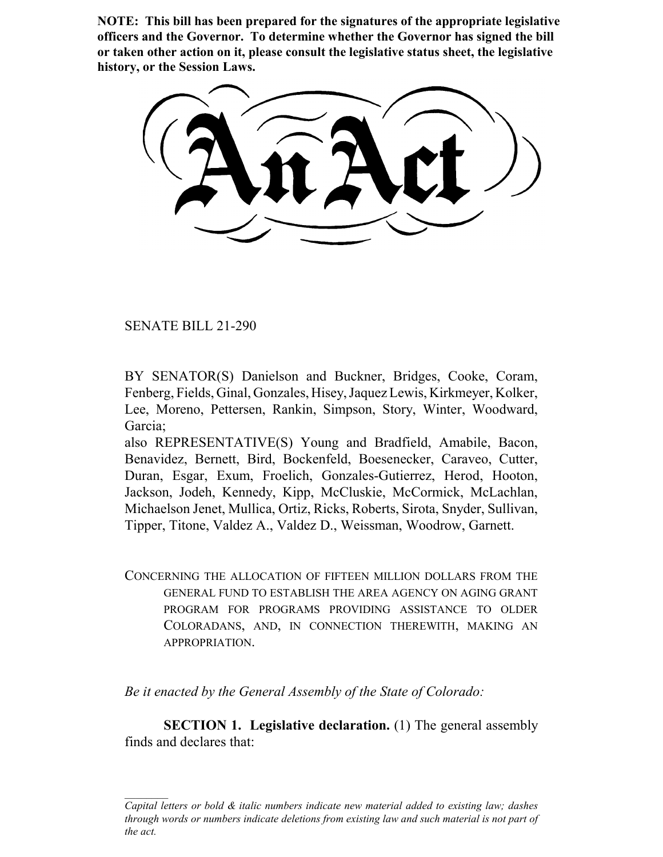**NOTE: This bill has been prepared for the signatures of the appropriate legislative officers and the Governor. To determine whether the Governor has signed the bill or taken other action on it, please consult the legislative status sheet, the legislative history, or the Session Laws.**

SENATE BILL 21-290

BY SENATOR(S) Danielson and Buckner, Bridges, Cooke, Coram, Fenberg, Fields, Ginal, Gonzales, Hisey, Jaquez Lewis, Kirkmeyer, Kolker, Lee, Moreno, Pettersen, Rankin, Simpson, Story, Winter, Woodward, Garcia;

also REPRESENTATIVE(S) Young and Bradfield, Amabile, Bacon, Benavidez, Bernett, Bird, Bockenfeld, Boesenecker, Caraveo, Cutter, Duran, Esgar, Exum, Froelich, Gonzales-Gutierrez, Herod, Hooton, Jackson, Jodeh, Kennedy, Kipp, McCluskie, McCormick, McLachlan, Michaelson Jenet, Mullica, Ortiz, Ricks, Roberts, Sirota, Snyder, Sullivan, Tipper, Titone, Valdez A., Valdez D., Weissman, Woodrow, Garnett.

CONCERNING THE ALLOCATION OF FIFTEEN MILLION DOLLARS FROM THE GENERAL FUND TO ESTABLISH THE AREA AGENCY ON AGING GRANT PROGRAM FOR PROGRAMS PROVIDING ASSISTANCE TO OLDER COLORADANS, AND, IN CONNECTION THEREWITH, MAKING AN APPROPRIATION.

*Be it enacted by the General Assembly of the State of Colorado:*

**SECTION 1. Legislative declaration.** (1) The general assembly finds and declares that:

*Capital letters or bold & italic numbers indicate new material added to existing law; dashes through words or numbers indicate deletions from existing law and such material is not part of the act.*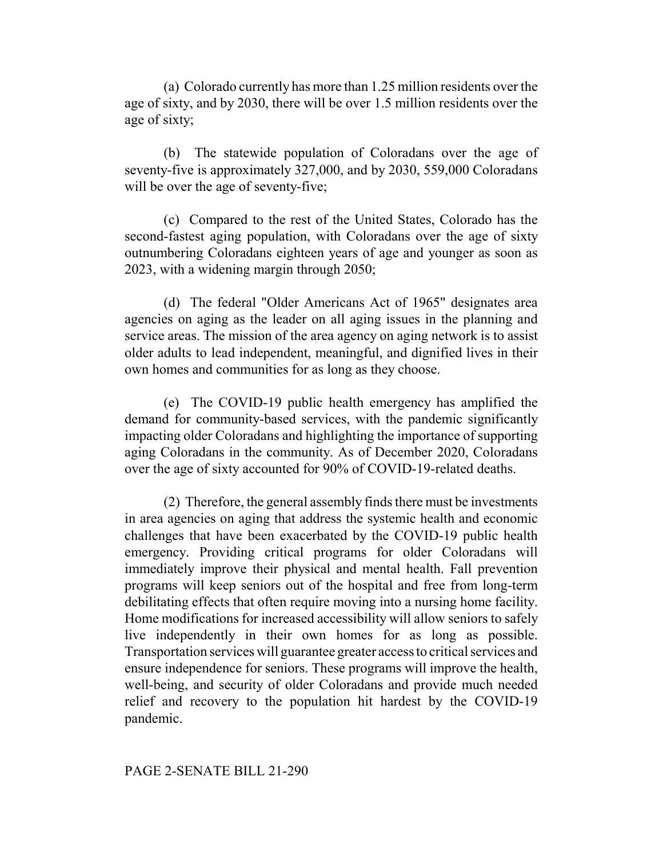(a) Colorado currently has more than 1.25 million residents over the age of sixty, and by 2030, there will be over 1.5 million residents over the age of sixty;

(b) The statewide population of Coloradans over the age of seventy-five is approximately 327,000, and by 2030, 559,000 Coloradans will be over the age of seventy-five;

(c) Compared to the rest of the United States, Colorado has the second-fastest aging population, with Coloradans over the age of sixty outnumbering Coloradans eighteen years of age and younger as soon as 2023, with a widening margin through 2050;

(d) The federal "Older Americans Act of 1965" designates area agencies on aging as the leader on all aging issues in the planning and service areas. The mission of the area agency on aging network is to assist older adults to lead independent, meaningful, and dignified lives in their own homes and communities for as long as they choose.

(e) The COVID-19 public health emergency has amplified the demand for community-based services, with the pandemic significantly impacting older Coloradans and highlighting the importance of supporting aging Coloradans in the community. As of December 2020, Coloradans over the age of sixty accounted for 90% of COVID-19-related deaths.

(2) Therefore, the general assembly finds there must be investments in area agencies on aging that address the systemic health and economic challenges that have been exacerbated by the COVID-19 public health emergency. Providing critical programs for older Coloradans will immediately improve their physical and mental health. Fall prevention programs will keep seniors out of the hospital and free from long-term debilitating effects that often require moving into a nursing home facility. Home modifications for increased accessibility will allow seniors to safely live independently in their own homes for as long as possible. Transportation services will guarantee greater access to critical services and ensure independence for seniors. These programs will improve the health, well-being, and security of older Coloradans and provide much needed relief and recovery to the population hit hardest by the COVID-19 pandemic.

## PAGE 2-SENATE BILL 21-290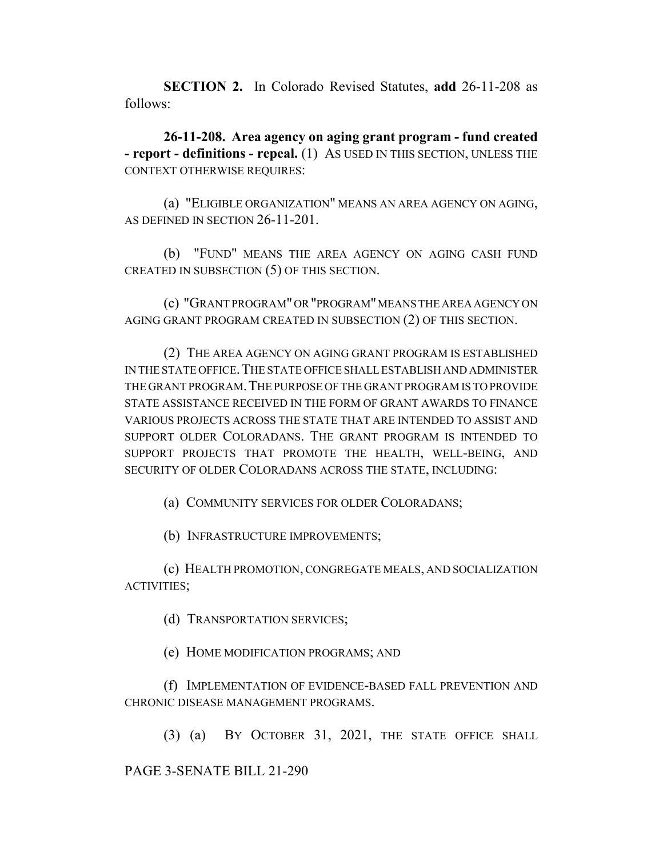**SECTION 2.** In Colorado Revised Statutes, **add** 26-11-208 as follows:

**26-11-208. Area agency on aging grant program - fund created - report - definitions - repeal.** (1) AS USED IN THIS SECTION, UNLESS THE CONTEXT OTHERWISE REQUIRES:

(a) "ELIGIBLE ORGANIZATION" MEANS AN AREA AGENCY ON AGING, AS DEFINED IN SECTION 26-11-201.

(b) "FUND" MEANS THE AREA AGENCY ON AGING CASH FUND CREATED IN SUBSECTION (5) OF THIS SECTION.

(c) "GRANT PROGRAM" OR "PROGRAM" MEANS THE AREA AGENCY ON AGING GRANT PROGRAM CREATED IN SUBSECTION (2) OF THIS SECTION.

(2) THE AREA AGENCY ON AGING GRANT PROGRAM IS ESTABLISHED IN THE STATE OFFICE.THE STATE OFFICE SHALL ESTABLISH AND ADMINISTER THE GRANT PROGRAM.THE PURPOSE OF THE GRANT PROGRAM IS TO PROVIDE STATE ASSISTANCE RECEIVED IN THE FORM OF GRANT AWARDS TO FINANCE VARIOUS PROJECTS ACROSS THE STATE THAT ARE INTENDED TO ASSIST AND SUPPORT OLDER COLORADANS. THE GRANT PROGRAM IS INTENDED TO SUPPORT PROJECTS THAT PROMOTE THE HEALTH, WELL-BEING, AND SECURITY OF OLDER COLORADANS ACROSS THE STATE, INCLUDING:

(a) COMMUNITY SERVICES FOR OLDER COLORADANS;

(b) INFRASTRUCTURE IMPROVEMENTS;

(c) HEALTH PROMOTION, CONGREGATE MEALS, AND SOCIALIZATION ACTIVITIES;

(d) TRANSPORTATION SERVICES;

(e) HOME MODIFICATION PROGRAMS; AND

(f) IMPLEMENTATION OF EVIDENCE-BASED FALL PREVENTION AND CHRONIC DISEASE MANAGEMENT PROGRAMS.

(3) (a) BY OCTOBER 31, 2021, THE STATE OFFICE SHALL

PAGE 3-SENATE BILL 21-290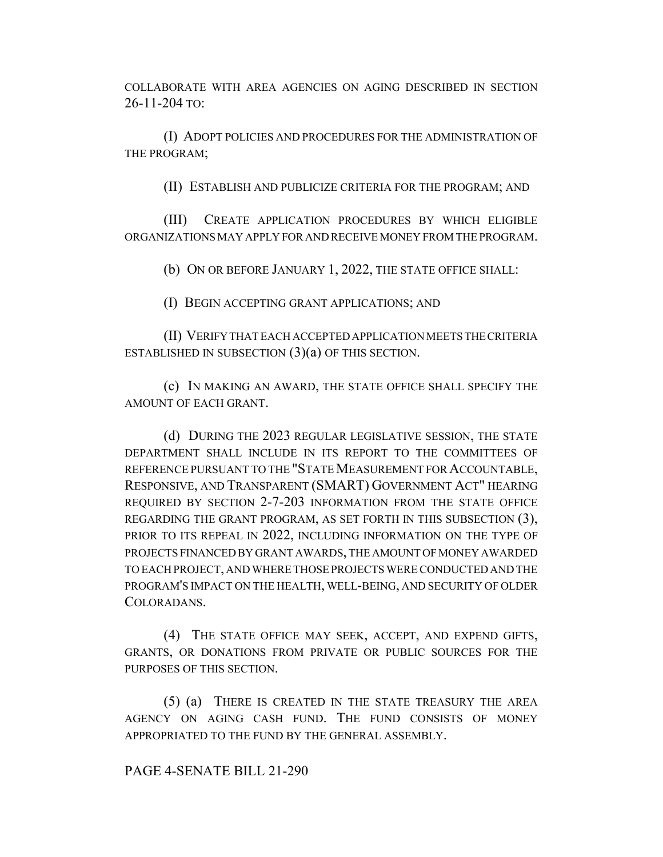COLLABORATE WITH AREA AGENCIES ON AGING DESCRIBED IN SECTION 26-11-204 TO:

(I) ADOPT POLICIES AND PROCEDURES FOR THE ADMINISTRATION OF THE PROGRAM;

(II) ESTABLISH AND PUBLICIZE CRITERIA FOR THE PROGRAM; AND

(III) CREATE APPLICATION PROCEDURES BY WHICH ELIGIBLE ORGANIZATIONS MAY APPLY FOR AND RECEIVE MONEY FROM THE PROGRAM.

(b) ON OR BEFORE JANUARY 1, 2022, THE STATE OFFICE SHALL:

(I) BEGIN ACCEPTING GRANT APPLICATIONS; AND

(II) VERIFY THAT EACH ACCEPTED APPLICATION MEETS THE CRITERIA ESTABLISHED IN SUBSECTION  $(3)(a)$  OF THIS SECTION.

(c) IN MAKING AN AWARD, THE STATE OFFICE SHALL SPECIFY THE AMOUNT OF EACH GRANT.

(d) DURING THE 2023 REGULAR LEGISLATIVE SESSION, THE STATE DEPARTMENT SHALL INCLUDE IN ITS REPORT TO THE COMMITTEES OF REFERENCE PURSUANT TO THE "STATE MEASUREMENT FOR ACCOUNTABLE, RESPONSIVE, AND TRANSPARENT (SMART) GOVERNMENT ACT" HEARING REQUIRED BY SECTION 2-7-203 INFORMATION FROM THE STATE OFFICE REGARDING THE GRANT PROGRAM, AS SET FORTH IN THIS SUBSECTION (3), PRIOR TO ITS REPEAL IN 2022, INCLUDING INFORMATION ON THE TYPE OF PROJECTS FINANCED BY GRANT AWARDS, THE AMOUNT OF MONEY AWARDED TO EACH PROJECT, AND WHERE THOSE PROJECTS WERE CONDUCTED AND THE PROGRAM'S IMPACT ON THE HEALTH, WELL-BEING, AND SECURITY OF OLDER COLORADANS.

(4) THE STATE OFFICE MAY SEEK, ACCEPT, AND EXPEND GIFTS, GRANTS, OR DONATIONS FROM PRIVATE OR PUBLIC SOURCES FOR THE PURPOSES OF THIS SECTION.

(5) (a) THERE IS CREATED IN THE STATE TREASURY THE AREA AGENCY ON AGING CASH FUND. THE FUND CONSISTS OF MONEY APPROPRIATED TO THE FUND BY THE GENERAL ASSEMBLY.

PAGE 4-SENATE BILL 21-290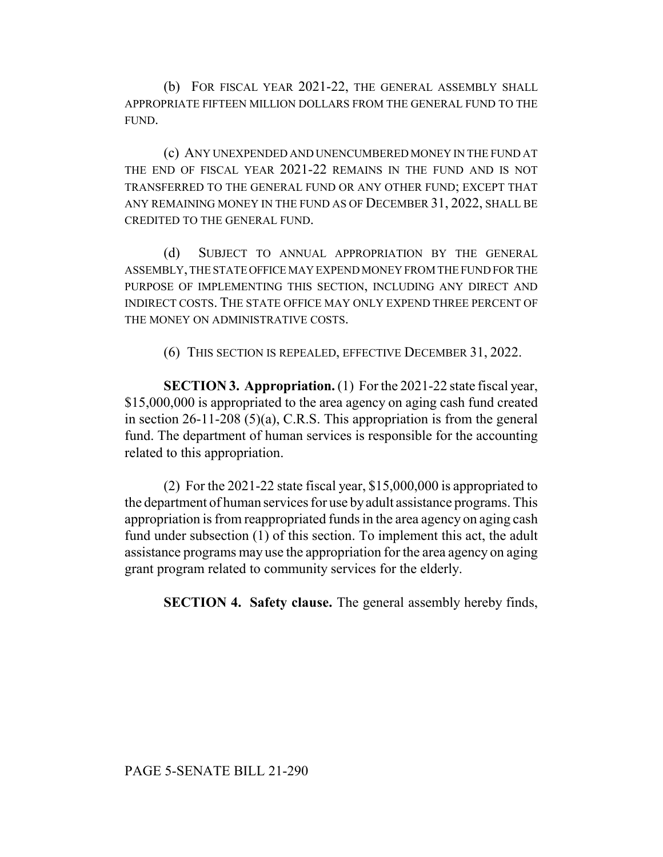(b) FOR FISCAL YEAR 2021-22, THE GENERAL ASSEMBLY SHALL APPROPRIATE FIFTEEN MILLION DOLLARS FROM THE GENERAL FUND TO THE FUND.

(c) ANY UNEXPENDED AND UNENCUMBERED MONEY IN THE FUND AT THE END OF FISCAL YEAR 2021-22 REMAINS IN THE FUND AND IS NOT TRANSFERRED TO THE GENERAL FUND OR ANY OTHER FUND; EXCEPT THAT ANY REMAINING MONEY IN THE FUND AS OF DECEMBER 31, 2022, SHALL BE CREDITED TO THE GENERAL FUND.

(d) SUBJECT TO ANNUAL APPROPRIATION BY THE GENERAL ASSEMBLY, THE STATE OFFICE MAY EXPEND MONEY FROM THE FUND FOR THE PURPOSE OF IMPLEMENTING THIS SECTION, INCLUDING ANY DIRECT AND INDIRECT COSTS. THE STATE OFFICE MAY ONLY EXPEND THREE PERCENT OF THE MONEY ON ADMINISTRATIVE COSTS.

(6) THIS SECTION IS REPEALED, EFFECTIVE DECEMBER 31, 2022.

**SECTION 3. Appropriation.** (1) For the 2021-22 state fiscal year, \$15,000,000 is appropriated to the area agency on aging cash fund created in section 26-11-208 (5)(a), C.R.S. This appropriation is from the general fund. The department of human services is responsible for the accounting related to this appropriation.

(2) For the 2021-22 state fiscal year, \$15,000,000 is appropriated to the department of human services for use by adult assistance programs. This appropriation is from reappropriated funds in the area agency on aging cash fund under subsection (1) of this section. To implement this act, the adult assistance programs may use the appropriation for the area agency on aging grant program related to community services for the elderly.

**SECTION 4. Safety clause.** The general assembly hereby finds,